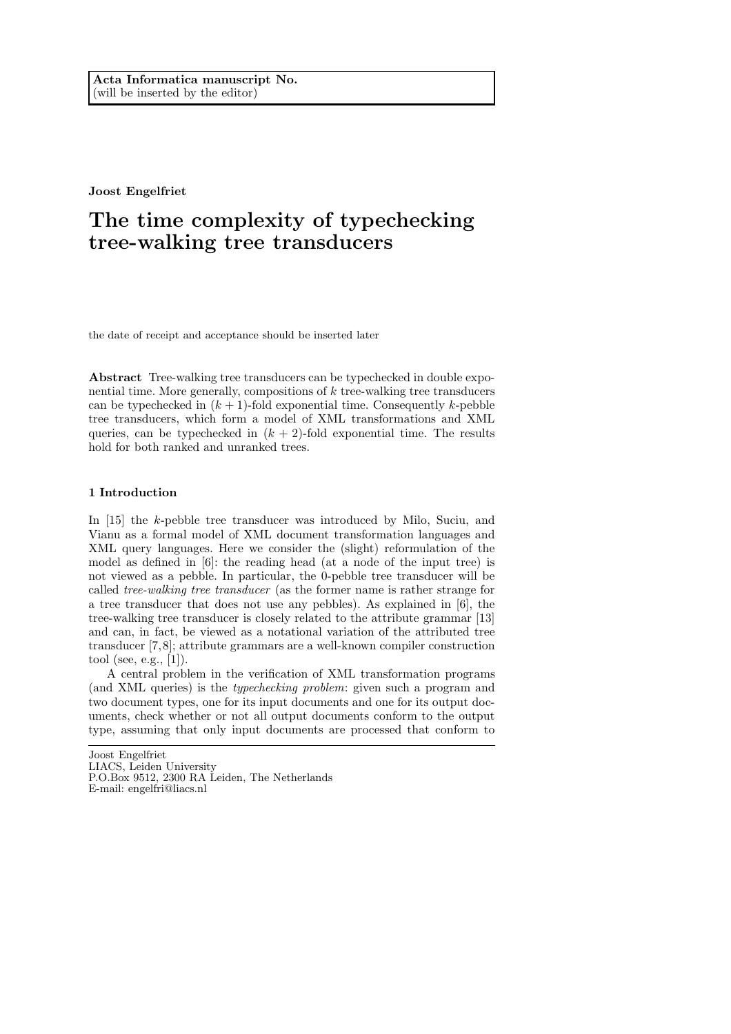Joost Engelfriet

# The time complexity of typechecking tree-walking tree transducers

the date of receipt and acceptance should be inserted later

Abstract Tree-walking tree transducers can be typechecked in double exponential time. More generally, compositions of  $k$  tree-walking tree transducers can be typechecked in  $(k + 1)$ -fold exponential time. Consequently k-pebble tree transducers, which form a model of XML transformations and XML queries, can be typechecked in  $(k + 2)$ -fold exponential time. The results hold for both ranked and unranked trees.

## 1 Introduction

In [15] the k-pebble tree transducer was introduced by Milo, Suciu, and Vianu as a formal model of XML document transformation languages and XML query languages. Here we consider the (slight) reformulation of the model as defined in [6]: the reading head (at a node of the input tree) is not viewed as a pebble. In particular, the 0-pebble tree transducer will be called tree-walking tree transducer (as the former name is rather strange for a tree transducer that does not use any pebbles). As explained in [6], the tree-walking tree transducer is closely related to the attribute grammar [13] and can, in fact, be viewed as a notational variation of the attributed tree transducer [7,8]; attribute grammars are a well-known compiler construction tool (see, e.g., [1]).

A central problem in the verification of XML transformation programs (and XML queries) is the typechecking problem: given such a program and two document types, one for its input documents and one for its output documents, check whether or not all output documents conform to the output type, assuming that only input documents are processed that conform to

Joost Engelfriet LIACS, Leiden University P.O.Box 9512, 2300 RA Leiden, The Netherlands E-mail: engelfri@liacs.nl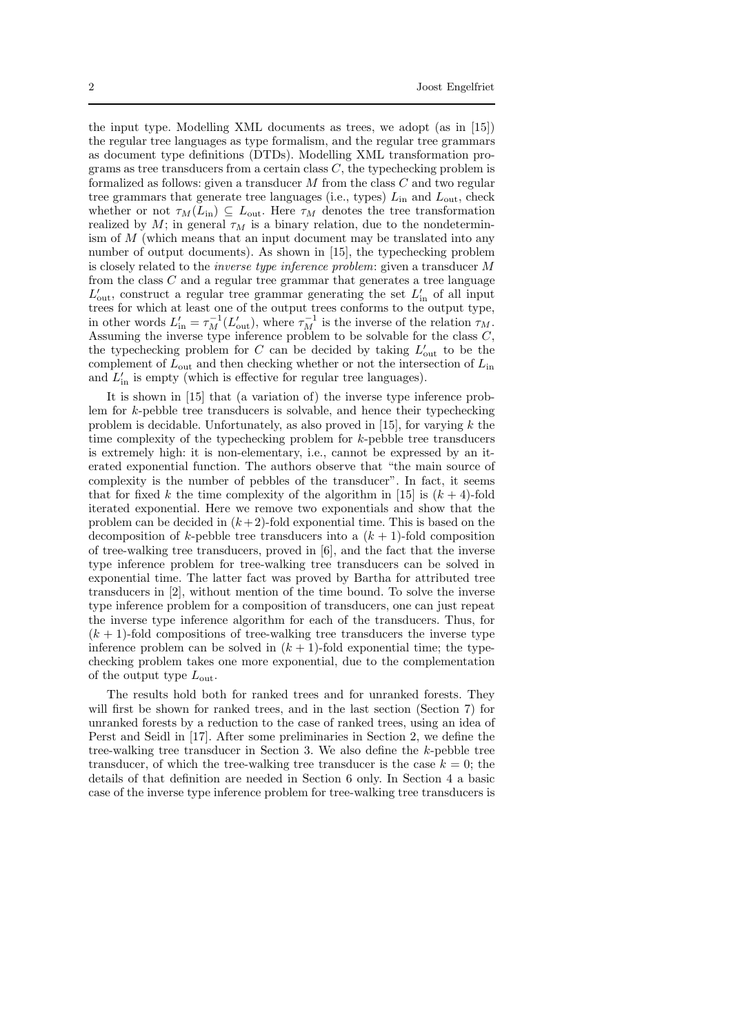the input type. Modelling XML documents as trees, we adopt (as in [15]) the regular tree languages as type formalism, and the regular tree grammars as document type definitions (DTDs). Modelling XML transformation programs as tree transducers from a certain class  $C$ , the typechecking problem is formalized as follows: given a transducer  $M$  from the class  $C$  and two regular tree grammars that generate tree languages (i.e., types)  $L_{\text{in}}$  and  $L_{\text{out}}$ , check whether or not  $\tau_M(L_{\rm in}) \subseteq L_{\rm out}$ . Here  $\tau_M$  denotes the tree transformation realized by M; in general  $\tau_M$  is a binary relation, due to the nondeterminism of  $M$  (which means that an input document may be translated into any number of output documents). As shown in [15], the typechecking problem is closely related to the inverse type inference problem: given a transducer M from the class  $C$  and a regular tree grammar that generates a tree language  $L'_{\text{out}}$ , construct a regular tree grammar generating the set  $L'_{\text{in}}$  of all input trees for which at least one of the output trees conforms to the output type, in other words  $L'_{\text{in}} = \tau_M^{-1}(L'_{\text{out}})$ , where  $\tau_M^{-1}$  is the inverse of the relation  $\tau_M$ . Assuming the inverse type inference problem to be solvable for the class  $C$ , the typechecking problem for  $C$  can be decided by taking  $L'_{\text{out}}$  to be the complement of  $L_{\text{out}}$  and then checking whether or not the intersection of  $L_{\text{in}}$ and  $L'_{\text{in}}$  is empty (which is effective for regular tree languages).

It is shown in [15] that (a variation of) the inverse type inference problem for k-pebble tree transducers is solvable, and hence their typechecking problem is decidable. Unfortunately, as also proved in [15], for varying  $k$  the time complexity of the typechecking problem for k-pebble tree transducers is extremely high: it is non-elementary, i.e., cannot be expressed by an iterated exponential function. The authors observe that "the main source of complexity is the number of pebbles of the transducer". In fact, it seems that for fixed k the time complexity of the algorithm in [15] is  $(k+4)$ -fold iterated exponential. Here we remove two exponentials and show that the problem can be decided in  $(k+2)$ -fold exponential time. This is based on the decomposition of k-pebble tree transducers into a  $(k + 1)$ -fold composition of tree-walking tree transducers, proved in [6], and the fact that the inverse type inference problem for tree-walking tree transducers can be solved in exponential time. The latter fact was proved by Bartha for attributed tree transducers in [2], without mention of the time bound. To solve the inverse type inference problem for a composition of transducers, one can just repeat the inverse type inference algorithm for each of the transducers. Thus, for  $(k + 1)$ -fold compositions of tree-walking tree transducers the inverse type inference problem can be solved in  $(k + 1)$ -fold exponential time; the typechecking problem takes one more exponential, due to the complementation of the output type  $L_{\text{out}}$ .

The results hold both for ranked trees and for unranked forests. They will first be shown for ranked trees, and in the last section (Section 7) for unranked forests by a reduction to the case of ranked trees, using an idea of Perst and Seidl in [17]. After some preliminaries in Section 2, we define the tree-walking tree transducer in Section 3. We also define the k-pebble tree transducer, of which the tree-walking tree transducer is the case  $k = 0$ ; the details of that definition are needed in Section 6 only. In Section 4 a basic case of the inverse type inference problem for tree-walking tree transducers is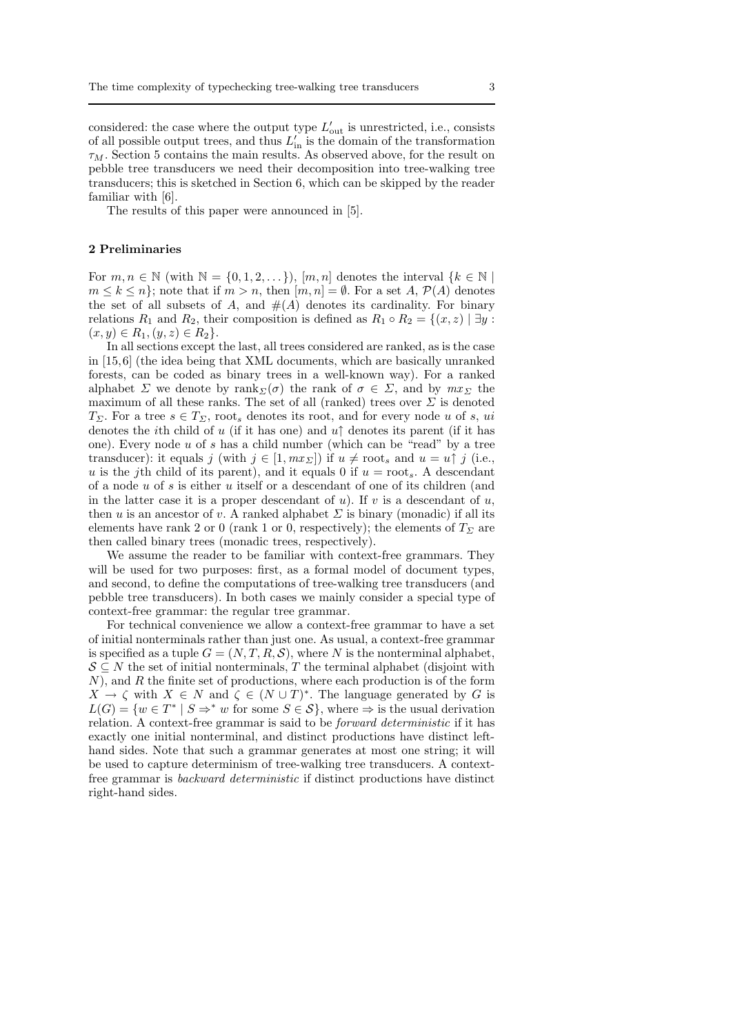considered: the case where the output type  $L'_{\text{out}}$  is unrestricted, i.e., consists of all possible output trees, and thus  $L'_{\text{in}}$  is the domain of the transformation  $\tau_M$ . Section 5 contains the main results. As observed above, for the result on pebble tree transducers we need their decomposition into tree-walking tree transducers; this is sketched in Section 6, which can be skipped by the reader familiar with [6].

The results of this paper were announced in [5].

#### 2 Preliminaries

For  $m, n \in \mathbb{N}$  (with  $\mathbb{N} = \{0, 1, 2, \dots\}$ ),  $[m, n]$  denotes the interval  $\{k \in \mathbb{N}\}\$  $m \leq k \leq n$ ; note that if  $m > n$ , then  $[m, n] = \emptyset$ . For a set A,  $\mathcal{P}(A)$  denotes the set of all subsets of A, and  $#(A)$  denotes its cardinality. For binary relations  $R_1$  and  $R_2$ , their composition is defined as  $R_1 \circ R_2 = \{(x, z) \mid \exists y$ :  $(x, y) \in R_1, (y, z) \in R_2$ .

In all sections except the last, all trees considered are ranked, as is the case in [15,6] (the idea being that XML documents, which are basically unranked forests, can be coded as binary trees in a well-known way). For a ranked alphabet  $\Sigma$  we denote by rank  $\Sigma(\sigma)$  the rank of  $\sigma \in \Sigma$ , and by  $mx_{\Sigma}$  the maximum of all these ranks. The set of all (ranked) trees over  $\Sigma$  is denoted  $T_{\Sigma}$ . For a tree  $s \in T_{\Sigma}$ , root, denotes its root, and for every node u of s, ui denotes the *i*th child of u (if it has one) and  $u\uparrow$  denotes its parent (if it has one). Every node u of s has a child number (which can be "read" by a tree transducer): it equals j (with  $j \in [1, mx_{\Sigma}]$ ) if  $u \neq \text{root}_s$  and  $u = u \uparrow j$  (i.e., u is the j<sup>th</sup> child of its parent), and it equals 0 if  $u = \text{root}_s$ . A descendant of a node  $u$  of s is either  $u$  itself or a descendant of one of its children (and in the latter case it is a proper descendant of  $u$ ). If  $v$  is a descendant of  $u$ , then u is an ancestor of v. A ranked alphabet  $\Sigma$  is binary (monadic) if all its elements have rank 2 or 0 (rank 1 or 0, respectively); the elements of  $T_\Sigma$  are then called binary trees (monadic trees, respectively).

We assume the reader to be familiar with context-free grammars. They will be used for two purposes: first, as a formal model of document types, and second, to define the computations of tree-walking tree transducers (and pebble tree transducers). In both cases we mainly consider a special type of context-free grammar: the regular tree grammar.

For technical convenience we allow a context-free grammar to have a set of initial nonterminals rather than just one. As usual, a context-free grammar is specified as a tuple  $G = (N, T, R, S)$ , where N is the nonterminal alphabet,  $S \subseteq N$  the set of initial nonterminals, T the terminal alphabet (disjoint with  $N$ , and  $R$  the finite set of productions, where each production is of the form  $X \to \zeta$  with  $X \in N$  and  $\zeta \in (N \cup T)^*$ . The language generated by G is  $L(G) = \{w \in T^* \mid S \Rightarrow^* w \text{ for some } S \in S\}$ , where  $\Rightarrow$  is the usual derivation relation. A context-free grammar is said to be forward deterministic if it has exactly one initial nonterminal, and distinct productions have distinct lefthand sides. Note that such a grammar generates at most one string; it will be used to capture determinism of tree-walking tree transducers. A contextfree grammar is backward deterministic if distinct productions have distinct right-hand sides.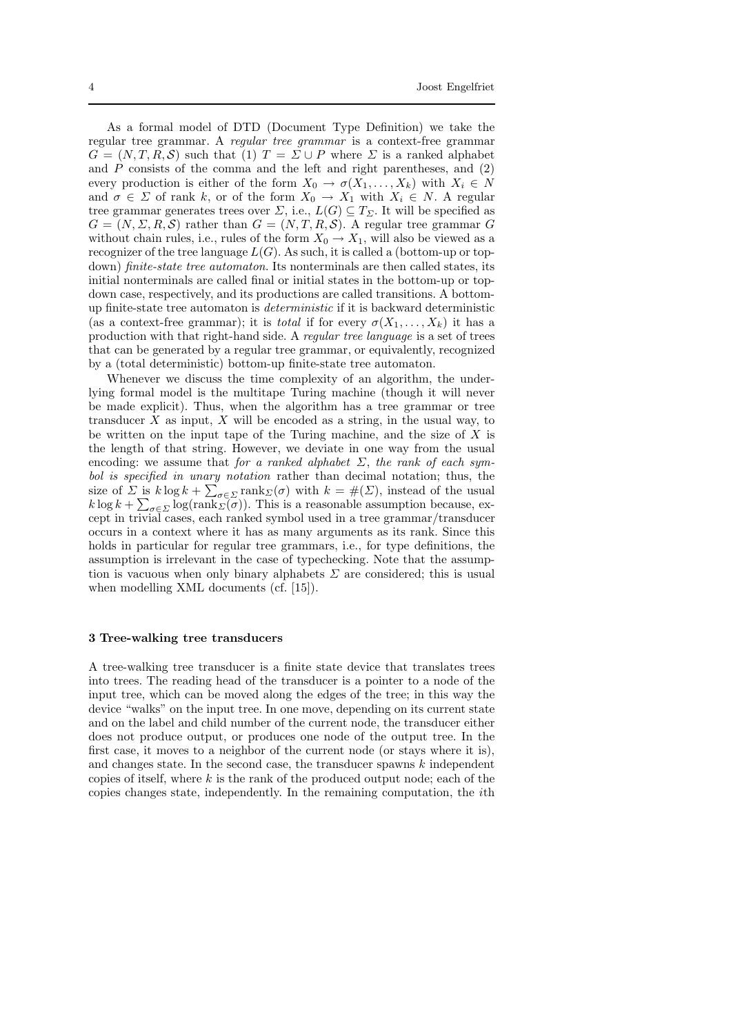As a formal model of DTD (Document Type Definition) we take the regular tree grammar. A regular tree grammar is a context-free grammar  $G = (N, T, R, S)$  such that (1)  $T = \Sigma \cup P$  where  $\Sigma$  is a ranked alphabet and  $\overline{P}$  consists of the comma and the left and right parentheses, and (2) every production is either of the form  $X_0 \to \sigma(X_1, \ldots, X_k)$  with  $X_i \in N$ and  $\sigma \in \Sigma$  of rank k, or of the form  $X_0 \to X_1$  with  $X_i \in N$ . A regular tree grammar generates trees over  $\Sigma$ , i.e.,  $L(G) \subseteq T_{\Sigma}$ . It will be specified as  $G = (N, \Sigma, R, S)$  rather than  $G = (N, T, R, S)$ . A regular tree grammar G without chain rules, i.e., rules of the form  $X_0 \to X_1$ , will also be viewed as a recognizer of the tree language  $L(G)$ . As such, it is called a (bottom-up or topdown) *finite-state tree automaton*. Its nonterminals are then called states, its initial nonterminals are called final or initial states in the bottom-up or topdown case, respectively, and its productions are called transitions. A bottomup finite-state tree automaton is deterministic if it is backward deterministic (as a context-free grammar); it is *total* if for every  $\sigma(X_1, \ldots, X_k)$  it has a production with that right-hand side. A regular tree language is a set of trees that can be generated by a regular tree grammar, or equivalently, recognized by a (total deterministic) bottom-up finite-state tree automaton.

Whenever we discuss the time complexity of an algorithm, the underlying formal model is the multitape Turing machine (though it will never be made explicit). Thus, when the algorithm has a tree grammar or tree transducer  $X$  as input,  $X$  will be encoded as a string, in the usual way, to be written on the input tape of the Turing machine, and the size of  $X$  is the length of that string. However, we deviate in one way from the usual encoding: we assume that for a ranked alphabet  $\Sigma$ , the rank of each symbol is specified in unary notation rather than decimal notation; thus, the size of  $\Sigma$  is  $k \log k + \sum_{\sigma \in \Sigma} \text{rank}_{\Sigma}(\sigma)$  with  $k = \#(\Sigma)$ , instead of the usual  $k \log k + \sum_{\sigma \in \Sigma} \log(\text{rank}_{\Sigma}(\sigma))$ . This is a reasonable assumption because, except in trivial cases, each ranked symbol used in a tree grammar/transducer occurs in a context where it has as many arguments as its rank. Since this holds in particular for regular tree grammars, i.e., for type definitions, the assumption is irrelevant in the case of typechecking. Note that the assumption is vacuous when only binary alphabets  $\Sigma$  are considered; this is usual when modelling XML documents (cf. [15]).

#### 3 Tree-walking tree transducers

A tree-walking tree transducer is a finite state device that translates trees into trees. The reading head of the transducer is a pointer to a node of the input tree, which can be moved along the edges of the tree; in this way the device "walks" on the input tree. In one move, depending on its current state and on the label and child number of the current node, the transducer either does not produce output, or produces one node of the output tree. In the first case, it moves to a neighbor of the current node (or stays where it is), and changes state. In the second case, the transducer spawns  $k$  independent copies of itself, where  $k$  is the rank of the produced output node; each of the copies changes state, independently. In the remaining computation, the ith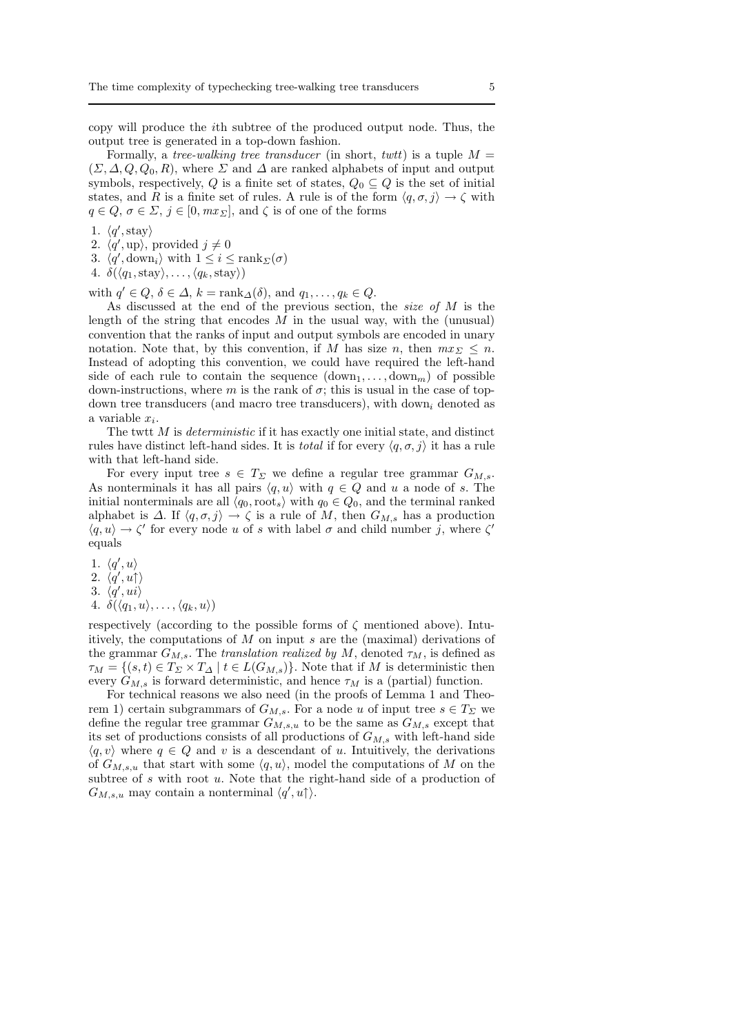copy will produce the ith subtree of the produced output node. Thus, the output tree is generated in a top-down fashion.

Formally, a tree-walking tree transducer (in short, twit) is a tuple  $M =$  $(\Sigma, \Delta, Q, Q_0, R)$ , where  $\Sigma$  and  $\Delta$  are ranked alphabets of input and output symbols, respectively, Q is a finite set of states,  $Q_0 \subseteq Q$  is the set of initial states, and R is a finite set of rules. A rule is of the form  $\langle q, \sigma, j \rangle \rightarrow \zeta$  with  $q \in Q$ ,  $\sigma \in \Sigma$ ,  $j \in [0, mx_{\Sigma}]$ , and  $\zeta$  is of one of the forms

- 1.  $\langle q', \text{stay}\rangle$
- 2.  $\langle \dot{q}', \text{up} \rangle$ , provided  $j \neq 0$
- 3.  $\langle q', \text{down}_i \rangle$  with  $1 \leq i \leq \text{rank}_{\Sigma}(\sigma)$
- 4.  $\delta(\langle q_1,\text{stay}\rangle,\ldots,\langle q_k,\text{stay}\rangle)$

with  $q' \in Q$ ,  $\delta \in \Delta$ ,  $k = \text{rank}_{\Delta}(\delta)$ , and  $q_1, \ldots, q_k \in Q$ .

As discussed at the end of the previous section, the *size of M* is the length of the string that encodes  $M$  in the usual way, with the (unusual) convention that the ranks of input and output symbols are encoded in unary notation. Note that, by this convention, if M has size n, then  $mx_{\Sigma} \leq n$ . Instead of adopting this convention, we could have required the left-hand side of each rule to contain the sequence  $(\text{down}_1, \ldots, \text{down}_m)$  of possible down-instructions, where m is the rank of  $\sigma$ ; this is usual in the case of topdown tree transducers (and macro tree transducers), with down<sub>i</sub> denoted as a variable  $x_i$ .

The twit  $M$  is *deterministic* if it has exactly one initial state, and distinct rules have distinct left-hand sides. It is *total* if for every  $\langle q, \sigma, j \rangle$  it has a rule with that left-hand side.

For every input tree  $s \in T_{\Sigma}$  we define a regular tree grammar  $G_{M,s}$ . As nonterminals it has all pairs  $\langle q, u \rangle$  with  $q \in Q$  and u a node of s. The initial nonterminals are all  $\langle q_0, \text{root}_s \rangle$  with  $q_0 \in Q_0$ , and the terminal ranked alphabet is  $\Delta$ . If  $\langle q, \sigma, j \rangle \rightarrow \zeta$  is a rule of M, then  $G_{M,s}$  has a production  $\langle q, u \rangle \to \zeta'$  for every node u of s with label  $\sigma$  and child number j, where  $\zeta'$ equals

- 1.  $\langle q', u \rangle$
- 2.  $\langle q', u \uparrow \rangle$
- 3.  $\langle \dot{q}', u\dot{\imath} \rangle$
- 4.  $\delta(\langle q_1, u \rangle, \ldots, \langle q_k, u \rangle)$

respectively (according to the possible forms of  $\zeta$  mentioned above). Intuitively, the computations of  $M$  on input s are the (maximal) derivations of the grammar  $G_{M,s}$ . The translation realized by M, denoted  $\tau_M$ , is defined as  $\tau_M = \{(s, t) \in T_\Sigma \times T_\Delta \mid t \in L(G_{M, s})\}$ . Note that if M is deterministic then every  $G_{M,s}$  is forward deterministic, and hence  $\tau_M$  is a (partial) function.

For technical reasons we also need (in the proofs of Lemma 1 and Theorem 1) certain subgrammars of  $G_{M,s}$ . For a node u of input tree  $s \in T_{\Sigma}$  we define the regular tree grammar  $G_{M,s,u}$  to be the same as  $G_{M,s}$  except that its set of productions consists of all productions of  $G_{M,s}$  with left-hand side  $\langle q, v \rangle$  where  $q \in Q$  and v is a descendant of u. Intuitively, the derivations of  $G_{M,s,u}$  that start with some  $\langle q, u \rangle$ , model the computations of M on the subtree of  $s$  with root  $u$ . Note that the right-hand side of a production of  $G_{M,s,u}$  may contain a nonterminal  $\langle q',u\rangle$ .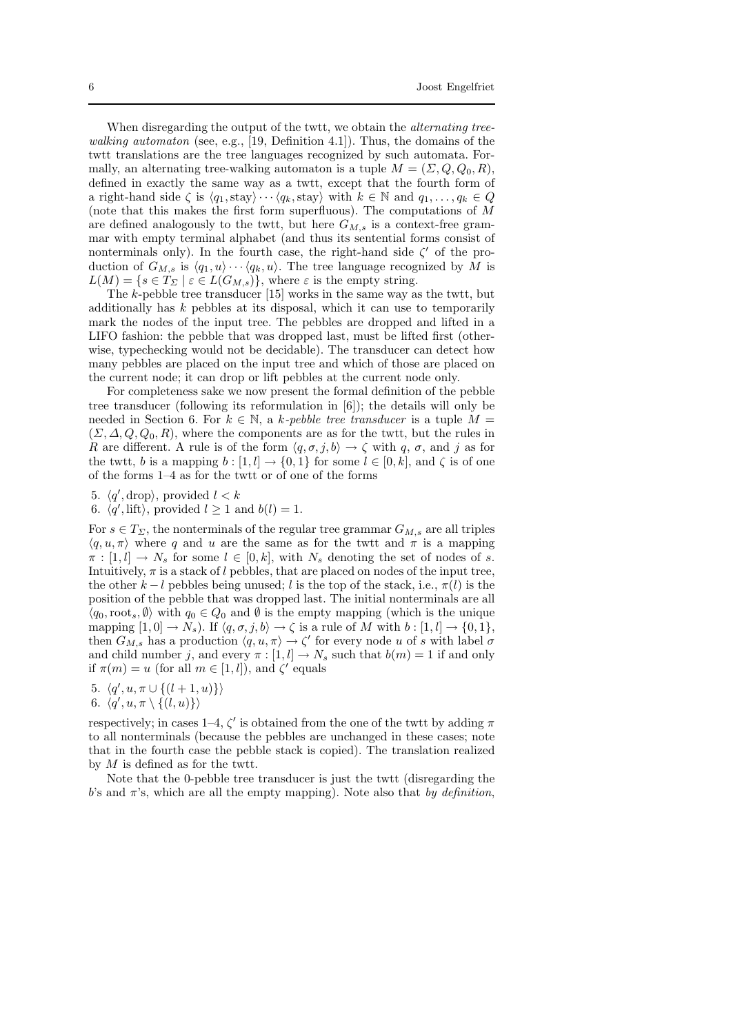When disregarding the output of the twtt, we obtain the *alternating tree*walking automaton (see, e.g., [19, Definition 4.1]). Thus, the domains of the twtt translations are the tree languages recognized by such automata. Formally, an alternating tree-walking automaton is a tuple  $M = (\Sigma, Q, Q_0, R)$ , defined in exactly the same way as a twtt, except that the fourth form of a right-hand side  $\zeta$  is  $\langle q_1, \text{stay}\rangle \cdots \langle q_k, \text{stay}\rangle$  with  $k \in \mathbb{N}$  and  $q_1, \ldots, q_k \in Q$ (note that this makes the first form superfluous). The computations of M are defined analogously to the twit, but here  $G_{M,s}$  is a context-free grammar with empty terminal alphabet (and thus its sentential forms consist of nonterminals only). In the fourth case, the right-hand side  $\zeta'$  of the production of  $G_{M,s}$  is  $\langle q_1, u \rangle \cdots \langle q_k, u \rangle$ . The tree language recognized by M is  $L(M) = \{ s \in T_\Sigma \mid \varepsilon \in L(G_{M,s}) \},$  where  $\varepsilon$  is the empty string.

The k-pebble tree transducer [15] works in the same way as the twtt, but additionally has  $k$  pebbles at its disposal, which it can use to temporarily mark the nodes of the input tree. The pebbles are dropped and lifted in a LIFO fashion: the pebble that was dropped last, must be lifted first (otherwise, typechecking would not be decidable). The transducer can detect how many pebbles are placed on the input tree and which of those are placed on the current node; it can drop or lift pebbles at the current node only.

For completeness sake we now present the formal definition of the pebble tree transducer (following its reformulation in [6]); the details will only be needed in Section 6. For  $k \in \mathbb{N}$ , a k-pebble tree transducer is a tuple  $M =$  $(\Sigma, \Delta, Q, Q_0, R)$ , where the components are as for the twit, but the rules in R are different. A rule is of the form  $\langle q, \sigma, j, b \rangle \rightarrow \zeta$  with  $q, \sigma$ , and j as for the twtt, b is a mapping  $b : [1, l] \rightarrow \{0, 1\}$  for some  $l \in [0, k]$ , and  $\zeta$  is of one of the forms 1–4 as for the twtt or of one of the forms

5.  $\langle q', \text{drop} \rangle$ , provided  $l < k$ 

6.  $\langle q', \text{lift} \rangle$ , provided  $l \geq 1$  and  $b(l) = 1$ .

For  $s \in T_{\Sigma}$ , the nonterminals of the regular tree grammar  $G_{M,s}$  are all triples  $\langle q, u, \pi \rangle$  where q and u are the same as for the twitt and  $\pi$  is a mapping  $\pi : [1, l] \to N_s$  for some  $l \in [0, k]$ , with  $N_s$  denoting the set of nodes of s. Intuitively,  $\pi$  is a stack of l pebbles, that are placed on nodes of the input tree, the other  $k - l$  pebbles being unused; l is the top of the stack, i.e.,  $\pi(l)$  is the position of the pebble that was dropped last. The initial nonterminals are all  $\langle q_0, \text{root}_s, \emptyset \rangle$  with  $q_0 \in Q_0$  and  $\emptyset$  is the empty mapping (which is the unique mapping  $[1, 0] \to N_s$ ). If  $\langle q, \sigma, j, b \rangle \to \zeta$  is a rule of M with  $b : [1, l] \to \{0, 1\},$ then  $G_{M,s}$  has a production  $\langle q, u, \pi \rangle \to \zeta'$  for every node u of s with label  $\sigma$ and child number j, and every  $\pi : [1, l] \to N_s$  such that  $b(m) = 1$  if and only if  $\pi(m) = u$  (for all  $m \in [1, l]$ ), and  $\zeta'$  equals

5. 
$$
\langle q', u, \pi \cup \{(l+1, u)\}\rangle
$$

6. 
$$
\langle q', u, \pi \setminus \{(l, u)\}\rangle
$$

respectively; in cases 1–4,  $\zeta'$  is obtained from the one of the twtt by adding  $\pi$ to all nonterminals (because the pebbles are unchanged in these cases; note that in the fourth case the pebble stack is copied). The translation realized by  $M$  is defined as for the twit.

Note that the 0-pebble tree transducer is just the twtt (disregarding the b's and  $\pi$ 's, which are all the empty mapping). Note also that by definition,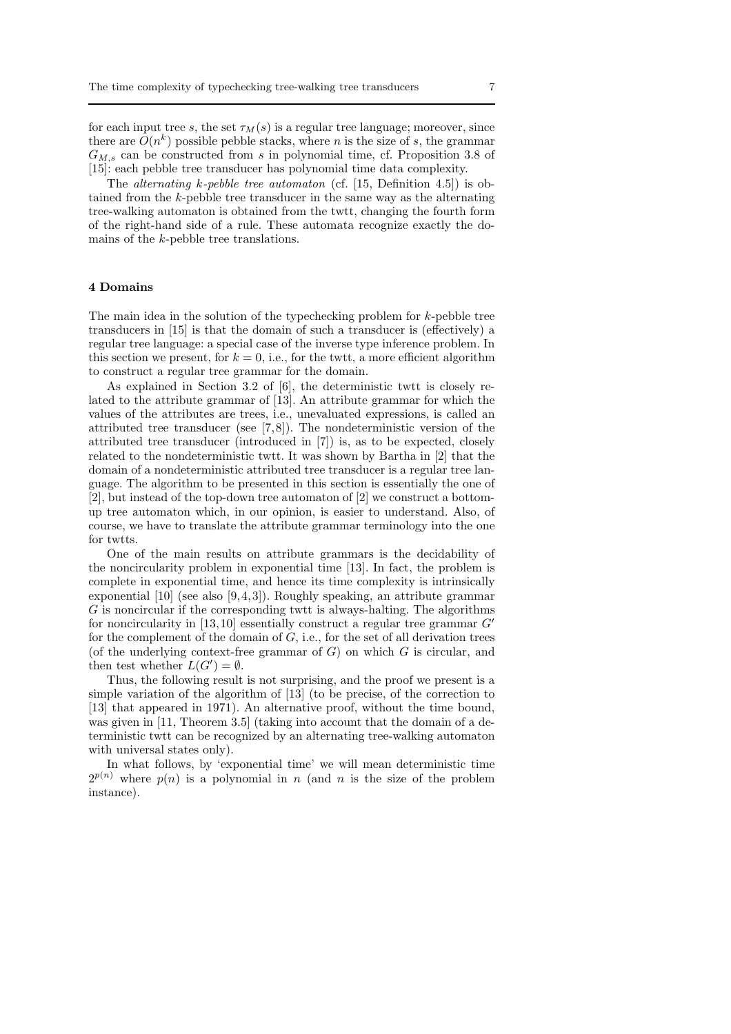for each input tree s, the set  $\tau_M(s)$  is a regular tree language; moreover, since there are  $O(n^k)$  possible pebble stacks, where n is the size of s, the grammar  $G_{M,s}$  can be constructed from s in polynomial time, cf. Proposition 3.8 of [15]: each pebble tree transducer has polynomial time data complexity.

The alternating k-pebble tree automaton (cf. [15, Definition 4.5]) is obtained from the k-pebble tree transducer in the same way as the alternating tree-walking automaton is obtained from the twtt, changing the fourth form of the right-hand side of a rule. These automata recognize exactly the domains of the k-pebble tree translations.

## 4 Domains

The main idea in the solution of the typechecking problem for  $k$ -pebble tree transducers in [15] is that the domain of such a transducer is (effectively) a regular tree language: a special case of the inverse type inference problem. In this section we present, for  $k = 0$ , i.e., for the twtt, a more efficient algorithm to construct a regular tree grammar for the domain.

As explained in Section 3.2 of [6], the deterministic twtt is closely related to the attribute grammar of [13]. An attribute grammar for which the values of the attributes are trees, i.e., unevaluated expressions, is called an attributed tree transducer (see [7,8]). The nondeterministic version of the attributed tree transducer (introduced in [7]) is, as to be expected, closely related to the nondeterministic twtt. It was shown by Bartha in [2] that the domain of a nondeterministic attributed tree transducer is a regular tree language. The algorithm to be presented in this section is essentially the one of [2], but instead of the top-down tree automaton of [2] we construct a bottomup tree automaton which, in our opinion, is easier to understand. Also, of course, we have to translate the attribute grammar terminology into the one for twtts.

One of the main results on attribute grammars is the decidability of the noncircularity problem in exponential time [13]. In fact, the problem is complete in exponential time, and hence its time complexity is intrinsically exponential [10] (see also [9,4,3]). Roughly speaking, an attribute grammar G is noncircular if the corresponding twtt is always-halting. The algorithms for noncircularity in [13,10] essentially construct a regular tree grammar  $G'$ for the complement of the domain of  $G$ , i.e., for the set of all derivation trees (of the underlying context-free grammar of  $G$ ) on which  $G$  is circular, and then test whether  $L(G') = \emptyset$ .

Thus, the following result is not surprising, and the proof we present is a simple variation of the algorithm of [13] (to be precise, of the correction to [13] that appeared in 1971). An alternative proof, without the time bound, was given in [11, Theorem 3.5] (taking into account that the domain of a deterministic twtt can be recognized by an alternating tree-walking automaton with universal states only).

In what follows, by 'exponential time' we will mean deterministic time  $2^{p(n)}$  where  $p(n)$  is a polynomial in n (and n is the size of the problem instance).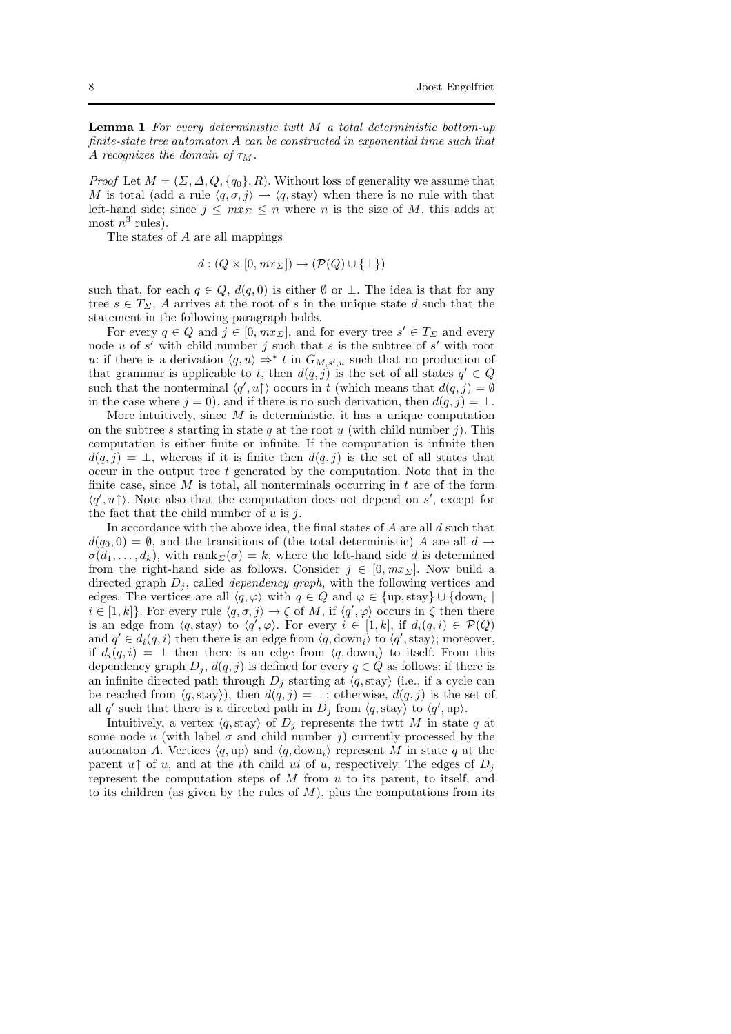**Lemma 1** For every deterministic twit  $M$  a total deterministic bottom-up finite-state tree automaton A can be constructed in exponential time such that A recognizes the domain of  $\tau_M$ .

*Proof* Let  $M = (\Sigma, \Delta, Q, \{q_0\}, R)$ . Without loss of generality we assume that M is total (add a rule  $\langle q, \sigma, j \rangle \rightarrow \langle q, \text{stay}\rangle$  when there is no rule with that left-hand side; since  $j \leq mx \leq n$  where n is the size of M, this adds at most  $n^3$  rules).

The states of A are all mappings

 $d : (Q \times [0, mx_{\Sigma}]) \rightarrow (\mathcal{P}(Q) \cup \{\perp\})$ 

such that, for each  $q \in Q$ ,  $d(q, 0)$  is either  $\emptyset$  or  $\bot$ . The idea is that for any tree  $s \in T_{\Sigma}$ , A arrives at the root of s in the unique state d such that the statement in the following paragraph holds.

For every  $q \in Q$  and  $j \in [0, m x_{\Sigma}]$ , and for every tree  $s' \in T_{\Sigma}$  and every node u of  $s'$  with child number j such that s is the subtree of  $s'$  with root u: if there is a derivation  $\langle q, u \rangle \Rightarrow^* t$  in  $G_{M, s', u}$  such that no production of that grammar is applicable to t, then  $d(q, j)$  is the set of all states  $q' \in Q$ such that the nonterminal  $\langle q', u \rangle$  occurs in t (which means that  $d(q, j) = \emptyset$ in the case where  $j = 0$ ), and if there is no such derivation, then  $d(q, j) = \bot$ .

More intuitively, since  $M$  is deterministic, it has a unique computation on the subtree s starting in state q at the root u (with child number j). This computation is either finite or infinite. If the computation is infinite then  $d(q, i) = \perp$ , whereas if it is finite then  $d(q, i)$  is the set of all states that occur in the output tree  $t$  generated by the computation. Note that in the finite case, since  $M$  is total, all nonterminals occurring in  $t$  are of the form  $\langle q', u \uparrow \rangle$ . Note also that the computation does not depend on s', except for the fact that the child number of  $u$  is  $i$ .

In accordance with the above idea, the final states of  $A$  are all  $d$  such that  $d(q_0, 0) = \emptyset$ , and the transitions of (the total deterministic) A are all  $d \rightarrow$  $\sigma(d_1, \ldots, d_k)$ , with rank $\Sigma(\sigma) = k$ , where the left-hand side d is determined from the right-hand side as follows. Consider  $j \in [0, mx]$ . Now build a directed graph  $D_j$ , called *dependency graph*, with the following vertices and edges. The vertices are all  $\langle q, \varphi \rangle$  with  $q \in Q$  and  $\varphi \in {\text{up, stay}} \cup {\text{down}_i}$  $i \in [1, k]$ . For every rule  $\langle q, \sigma, j \rangle \to \zeta$  of M, if  $\langle q', \varphi \rangle$  occurs in  $\zeta$  then there is an edge from  $\langle q, \text{stay}\rangle$  to  $\langle q', \varphi\rangle$ . For every  $i \in [1, k]$ , if  $d_i(q, i) \in \mathcal{P}(Q)$ and  $q' \in d_i(q, i)$  then there is an edge from  $\langle q, \text{down}_i \rangle$  to  $\langle q', \text{stay}\rangle$ ; moreover, if  $d_i(q, i) = \perp$  then there is an edge from  $\langle q, \text{down}_i \rangle$  to itself. From this dependency graph  $D_j$ ,  $d(q, j)$  is defined for every  $q \in Q$  as follows: if there is an infinite directed path through  $D_i$  starting at  $\langle q$ , stay) (i.e., if a cycle can be reached from  $\langle q, \text{stay}\rangle$ , then  $d(q, j) = \perp$ ; otherwise,  $d(q, j)$  is the set of all q' such that there is a directed path in  $D_j$  from  $\langle q, \text{stay}\rangle$  to  $\langle q', \text{up}\rangle$ .

Intuitively, a vertex  $\langle q, \text{stay}\rangle$  of  $D_j$  represents the twtt M in state q at some node u (with label  $\sigma$  and child number j) currently processed by the automaton A. Vertices  $\langle q, \text{up} \rangle$  and  $\langle q, \text{down}_i \rangle$  represent M in state q at the parent  $u\uparrow$  of u, and at the ith child ui of u, respectively. The edges of  $D_i$ represent the computation steps of  $M$  from  $u$  to its parent, to itself, and to its children (as given by the rules of  $M$ ), plus the computations from its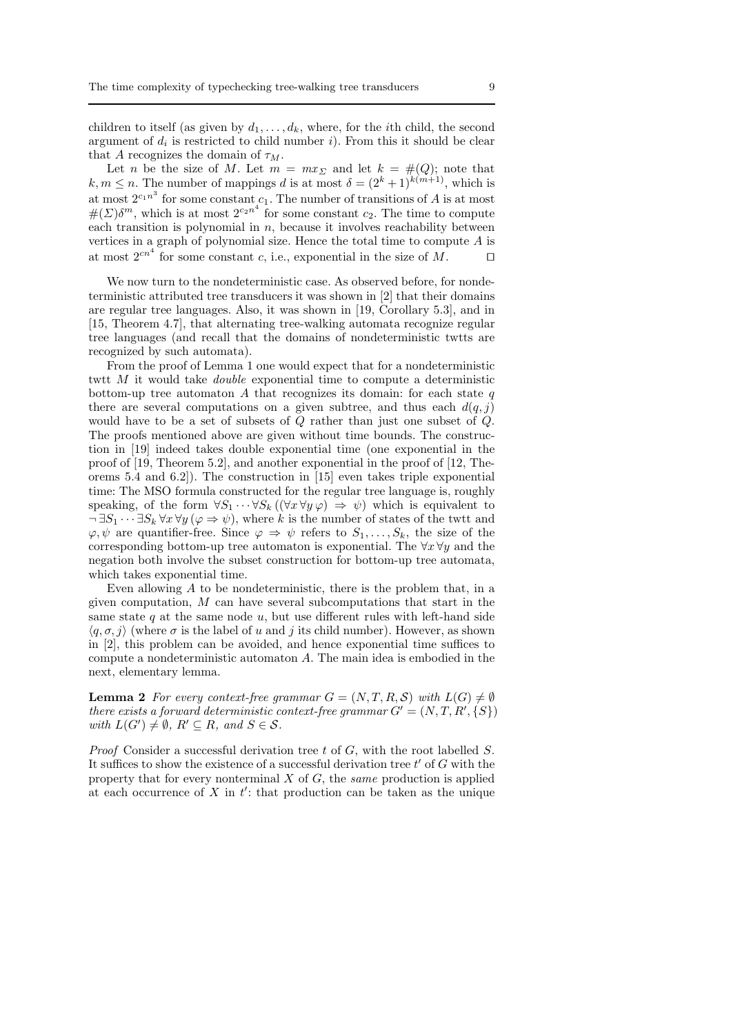children to itself (as given by  $d_1, \ldots, d_k$ , where, for the *i*th child, the second argument of  $d_i$  is restricted to child number i). From this it should be clear that A recognizes the domain of  $\tau_M$ .

Let n be the size of M. Let  $m = mx_{\Sigma}$  and let  $k = \#(Q)$ ; note that  $k, m \leq n$ . The number of mappings d is at most  $\delta = (2^k + 1)^{k(m+1)}$ , which is at most  $2^{c_1 n^3}$  for some constant  $c_1$ . The number of transitions of A is at most  $\#(\Sigma)\delta^m$ , which is at most  $2^{c_2n^4}$  for some constant  $c_2$ . The time to compute each transition is polynomial in  $n$ , because it involves reachability between vertices in a graph of polynomial size. Hence the total time to compute A is at most  $2^{cn^4}$  for some constant c, i.e., exponential in the size of M. □

We now turn to the nondeterministic case. As observed before, for nondeterministic attributed tree transducers it was shown in [2] that their domains are regular tree languages. Also, it was shown in [19, Corollary 5.3], and in [15, Theorem 4.7], that alternating tree-walking automata recognize regular tree languages (and recall that the domains of nondeterministic twtts are recognized by such automata).

From the proof of Lemma 1 one would expect that for a nondeterministic twtt  $M$  it would take *double* exponential time to compute a deterministic bottom-up tree automaton  $A$  that recognizes its domain: for each state  $q$ there are several computations on a given subtree, and thus each  $d(q, j)$ would have to be a set of subsets of Q rather than just one subset of Q. The proofs mentioned above are given without time bounds. The construction in [19] indeed takes double exponential time (one exponential in the proof of [19, Theorem 5.2], and another exponential in the proof of [12, Theorems 5.4 and 6.2]). The construction in [15] even takes triple exponential time: The MSO formula constructed for the regular tree language is, roughly speaking, of the form  $\forall S_1 \cdots \forall S_k ((\forall x \forall y \varphi) \Rightarrow \psi)$  which is equivalent to  $\neg \exists S_1 \cdots \exists S_k \forall x \forall y (\varphi \Rightarrow \psi)$ , where k is the number of states of the twitt and  $\varphi, \psi$  are quantifier-free. Since  $\varphi \Rightarrow \psi$  refers to  $S_1, \ldots, S_k$ , the size of the corresponding bottom-up tree automaton is exponential. The  $\forall x \forall y$  and the negation both involve the subset construction for bottom-up tree automata, which takes exponential time.

Even allowing A to be nondeterministic, there is the problem that, in a given computation,  $M$  can have several subcomputations that start in the same state q at the same node  $u$ , but use different rules with left-hand side  $\langle q, \sigma, j \rangle$  (where  $\sigma$  is the label of u and j its child number). However, as shown in [2], this problem can be avoided, and hence exponential time suffices to compute a nondeterministic automaton A. The main idea is embodied in the next, elementary lemma.

**Lemma 2** For every context-free grammar  $G = (N, T, R, S)$  with  $L(G) \neq \emptyset$ there exists a forward deterministic context-free grammar  $G' = (N, T, R', \{S\})$ with  $L(G') \neq \emptyset$ ,  $R' \subseteq R$ , and  $S \in \mathcal{S}$ .

*Proof* Consider a successful derivation tree t of  $G$ , with the root labelled  $S$ . It suffices to show the existence of a successful derivation tree  $t'$  of  $G$  with the property that for every nonterminal  $X$  of  $G$ , the same production is applied at each occurrence of  $X$  in  $t'$ : that production can be taken as the unique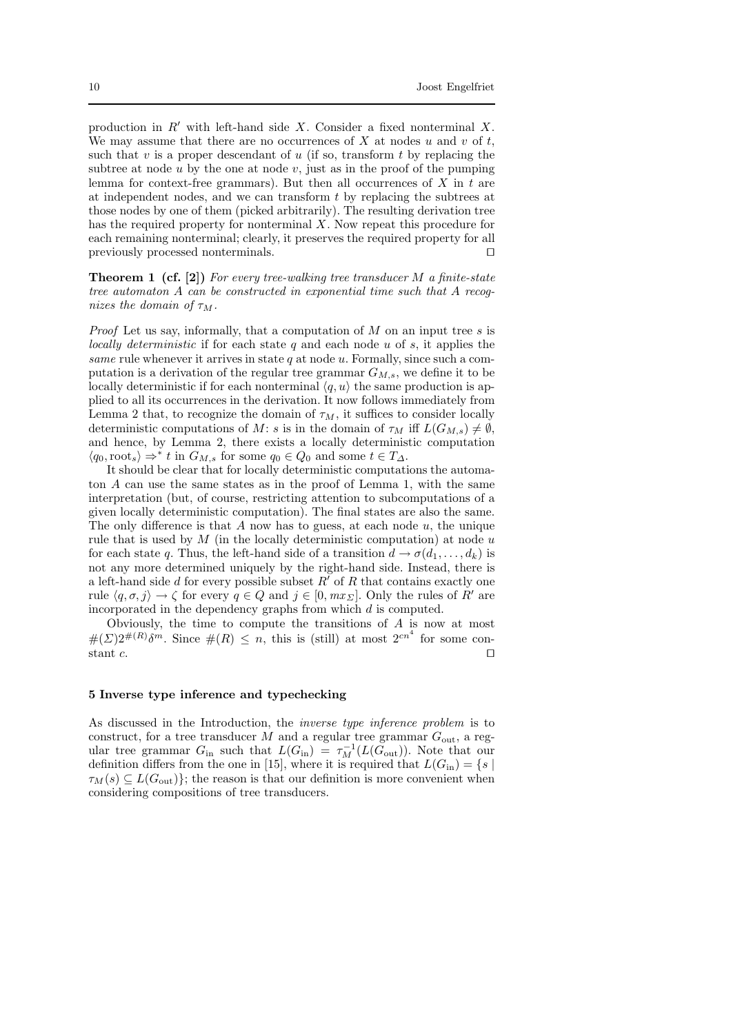production in  $R'$  with left-hand side X. Consider a fixed nonterminal X. We may assume that there are no occurrences of  $X$  at nodes  $u$  and  $v$  of  $t$ , such that  $v$  is a proper descendant of  $u$  (if so, transform  $t$  by replacing the subtree at node  $u$  by the one at node  $v$ , just as in the proof of the pumping lemma for context-free grammars). But then all occurrences of  $X$  in  $t$  are at independent nodes, and we can transform t by replacing the subtrees at those nodes by one of them (picked arbitrarily). The resulting derivation tree has the required property for nonterminal  $X$ . Now repeat this procedure for each remaining nonterminal; clearly, it preserves the required property for all previously processed nonterminals. □

**Theorem 1 (cf. [2])** For every tree-walking tree transducer  $M$  a finite-state tree automaton A can be constructed in exponential time such that A recognizes the domain of  $\tau_M$ .

*Proof* Let us say, informally, that a computation of  $M$  on an input tree  $s$  is locally deterministic if for each state  $q$  and each node  $u$  of  $s$ , it applies the same rule whenever it arrives in state  $q$  at node  $u$ . Formally, since such a computation is a derivation of the regular tree grammar  $G_{M,s}$ , we define it to be locally deterministic if for each nonterminal  $\langle q, u \rangle$  the same production is applied to all its occurrences in the derivation. It now follows immediately from Lemma 2 that, to recognize the domain of  $\tau_M$ , it suffices to consider locally deterministic computations of M: s is in the domain of  $\tau_M$  iff  $L(G_{M,s}) \neq \emptyset$ , and hence, by Lemma 2, there exists a locally deterministic computation  $\langle q_0, \text{root}_s \rangle \Rightarrow^* t \text{ in } G_{M,s}$  for some  $q_0 \in Q_0$  and some  $t \in T_{\Delta}$ .

It should be clear that for locally deterministic computations the automaton A can use the same states as in the proof of Lemma 1, with the same interpretation (but, of course, restricting attention to subcomputations of a given locally deterministic computation). The final states are also the same. The only difference is that  $A$  now has to guess, at each node  $u$ , the unique rule that is used by  $M$  (in the locally deterministic computation) at node  $u$ for each state q. Thus, the left-hand side of a transition  $d \rightarrow \sigma(d_1, \ldots, d_k)$  is not any more determined uniquely by the right-hand side. Instead, there is a left-hand side d for every possible subset  $R'$  of R that contains exactly one rule  $\langle q, \sigma, j \rangle \to \zeta$  for every  $q \in Q$  and  $j \in [0, mx_{\Sigma}]$ . Only the rules of R' are incorporated in the dependency graphs from which d is computed.

Obviously, the time to compute the transitions of A is now at most  $\#(\Sigma)2^{\#(R)}\delta^m$ . Since  $\#(R) \leq n$ , this is (still) at most  $2^{cn^4}$  for some constant c.  $□$ 

#### 5 Inverse type inference and typechecking

As discussed in the Introduction, the inverse type inference problem is to construct, for a tree transducer M and a regular tree grammar  $G_{\text{out}}$ , a regular tree grammar  $G_{\text{in}}$  such that  $L(G_{\text{in}}) = \tau_M^{-1}(L(G_{\text{out}}))$ . Note that our definition differs from the one in [15], where it is required that  $L(G_{\text{in}}) = \{s \mid$  $\tau_M(s) \subseteq L(G_{\text{out}})$ ; the reason is that our definition is more convenient when considering compositions of tree transducers.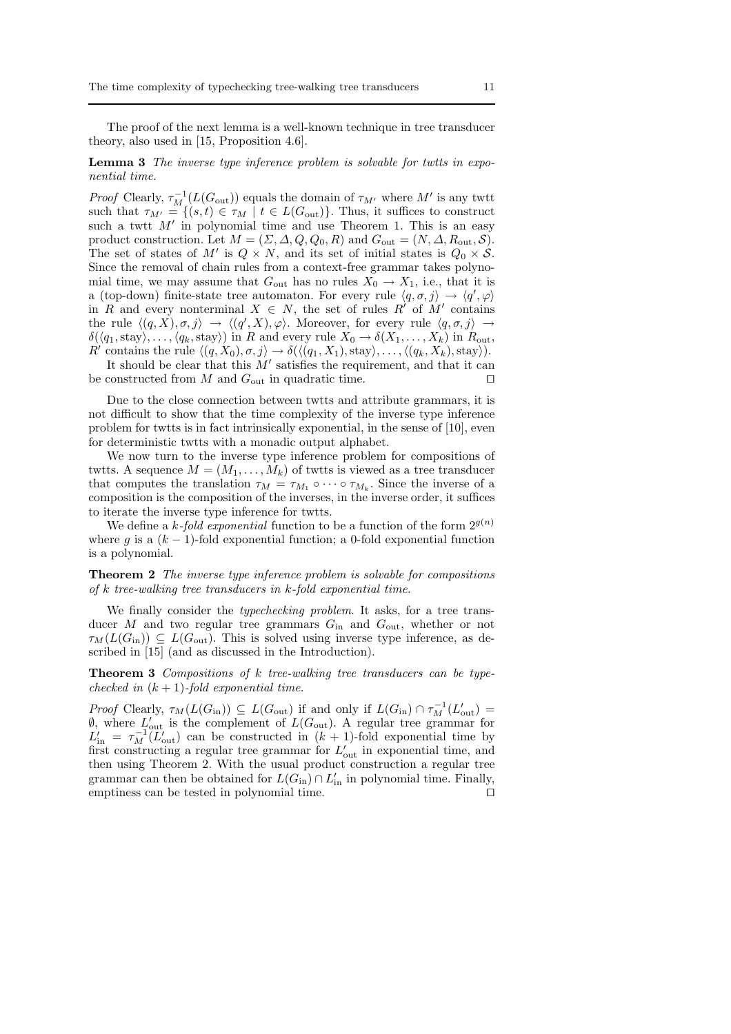The proof of the next lemma is a well-known technique in tree transducer theory, also used in [15, Proposition 4.6].

Lemma 3 The inverse type inference problem is solvable for twtts in exponential time.

*Proof* Clearly,  $\tau_M^{-1}(L(G_{\text{out}}))$  equals the domain of  $\tau_{M'}$  where  $M'$  is any twtt such that  $\tau_{M'} = \{(s, t) \in \tau_M \mid t \in L(G_{\text{out}})\}\)$ . Thus, it suffices to construct such a twit  $M'$  in polynomial time and use Theorem 1. This is an easy product construction. Let  $M = (\Sigma, \Delta, Q, Q_0, R)$  and  $G_{\text{out}} = (N, \Delta, R_{\text{out}}, S)$ . The set of states of M' is  $Q \times N$ , and its set of initial states is  $Q_0 \times S$ . Since the removal of chain rules from a context-free grammar takes polynomial time, we may assume that  $G_{\text{out}}$  has no rules  $X_0 \to X_1$ , i.e., that it is a (top-down) finite-state tree automaton. For every rule  $\langle q, \sigma, j \rangle \rightarrow \langle q', \varphi \rangle$ in R and every nonterminal  $X \in N$ , the set of rules R' of M' contains the rule  $\langle (q, X), \sigma, j \rangle \rightarrow \langle (q', X), \varphi \rangle$ . Moreover, for every rule  $\langle q, \sigma, j \rangle \rightarrow$  $\delta(\langle q_1,\text{stay}\rangle,\ldots,\langle q_k,\text{stay}\rangle)$  in R and every rule  $X_0 \to \delta(X_1,\ldots,X_k)$  in  $R_{\text{out}}$ , R' contains the rule  $\langle (q, X_0), \sigma, j \rangle \to \delta(\langle (q_1, X_1), \text{stay}\rangle, \dots, \langle (q_k, X_k), \text{stay}\rangle).$ 

It should be clear that this  $M'$  satisfies the requirement, and that it can be constructed from M and  $G_{\text{out}}$  in quadratic time. □

Due to the close connection between twtts and attribute grammars, it is not difficult to show that the time complexity of the inverse type inference problem for twtts is in fact intrinsically exponential, in the sense of [10], even for deterministic twtts with a monadic output alphabet.

We now turn to the inverse type inference problem for compositions of twtts. A sequence  $M = (M_1, \ldots, M_k)$  of twtts is viewed as a tree transducer that computes the translation  $\tau_M = \tau_{M_1} \circ \cdots \circ \tau_{M_k}$ . Since the inverse of a composition is the composition of the inverses, in the inverse order, it suffices to iterate the inverse type inference for twtts.

We define a k-fold exponential function to be a function of the form  $2^{g(n)}$ where q is a  $(k-1)$ -fold exponential function; a 0-fold exponential function is a polynomial.

Theorem 2 The inverse type inference problem is solvable for compositions of k tree-walking tree transducers in k-fold exponential time.

We finally consider the typechecking problem. It asks, for a tree transducer M and two regular tree grammars  $G_{\text{in}}$  and  $G_{\text{out}}$ , whether or not  $\tau_M(L(G_{\rm in})) \subseteq L(G_{\rm out})$ . This is solved using inverse type inference, as described in [15] (and as discussed in the Introduction).

Theorem 3 Compositions of k tree-walking tree transducers can be typechecked in  $(k + 1)$ -fold exponential time.

Proof Clearly,  $\tau_M(L(G_{\text{in}})) \subseteq L(G_{\text{out}})$  if and only if  $L(G_{\text{in}}) \cap \tau_M^{-1}(L'_{\text{out}}) =$  $\emptyset$ , where  $L'_{\text{out}}$  is the complement of  $L(G_{\text{out}})$ . A regular tree grammar for  $L'_{\text{in}} = \tau_M^{-1} (L'_{\text{out}})$  can be constructed in  $(k+1)$ -fold exponential time by first constructing a regular tree grammar for  $L'_{\text{out}}$  in exponential time, and then using Theorem 2. With the usual product construction a regular tree grammar can then be obtained for  $L(G_{\text{in}}) \cap L'_{\text{in}}$  in polynomial time. Finally, emptiness can be tested in polynomial time. ⊓⊔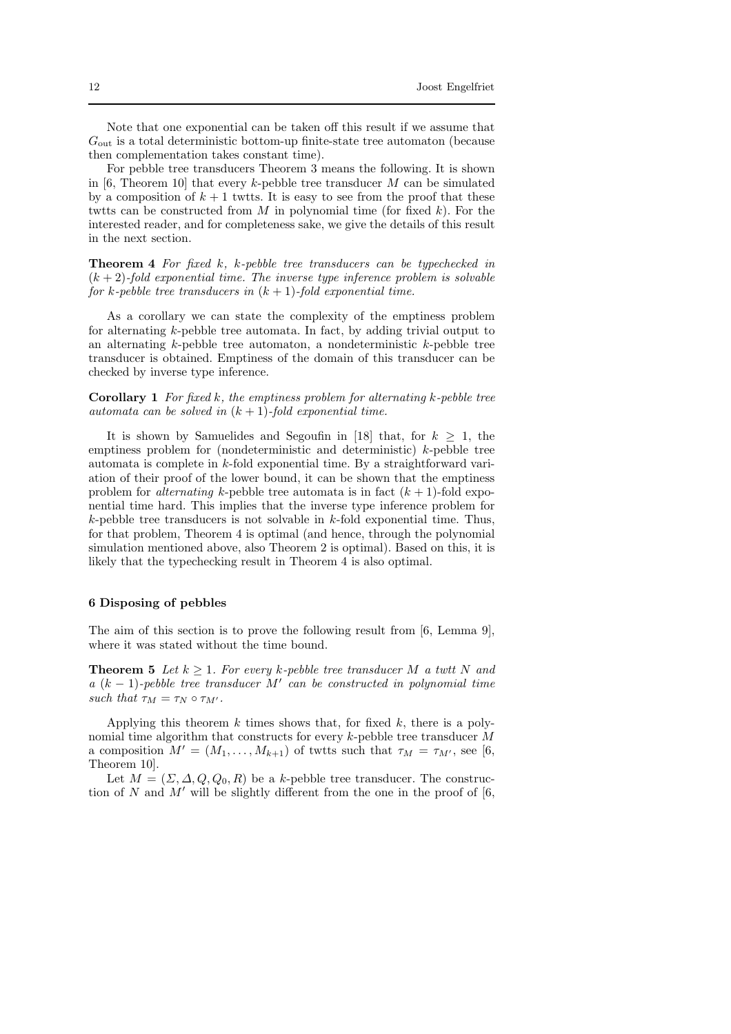Note that one exponential can be taken off this result if we assume that  $G_{\text{out}}$  is a total deterministic bottom-up finite-state tree automaton (because then complementation takes constant time).

For pebble tree transducers Theorem 3 means the following. It is shown in [6, Theorem 10] that every k-pebble tree transducer M can be simulated by a composition of  $k + 1$  twtts. It is easy to see from the proof that these twtts can be constructed from M in polynomial time (for fixed k). For the interested reader, and for completeness sake, we give the details of this result in the next section.

Theorem 4 For fixed k, k-pebble tree transducers can be typechecked in  $(k + 2)$ -fold exponential time. The inverse type inference problem is solvable for k-pebble tree transducers in  $(k + 1)$ -fold exponential time.

As a corollary we can state the complexity of the emptiness problem for alternating k-pebble tree automata. In fact, by adding trivial output to an alternating  $k$ -pebble tree automaton, a nondeterministic  $k$ -pebble tree transducer is obtained. Emptiness of the domain of this transducer can be checked by inverse type inference.

**Corollary 1** For fixed k, the emptiness problem for alternating k-pebble tree automata can be solved in  $(k + 1)$ -fold exponential time.

It is shown by Samuelides and Segoufin in [18] that, for  $k \geq 1$ , the emptiness problem for (nondeterministic and deterministic) k-pebble tree automata is complete in  $k$ -fold exponential time. By a straightforward variation of their proof of the lower bound, it can be shown that the emptiness problem for *alternating* k-pebble tree automata is in fact  $(k + 1)$ -fold exponential time hard. This implies that the inverse type inference problem for  $k$ -pebble tree transducers is not solvable in  $k$ -fold exponential time. Thus, for that problem, Theorem 4 is optimal (and hence, through the polynomial simulation mentioned above, also Theorem 2 is optimal). Based on this, it is likely that the typechecking result in Theorem 4 is also optimal.

## 6 Disposing of pebbles

The aim of this section is to prove the following result from [6, Lemma 9], where it was stated without the time bound.

**Theorem 5** Let  $k \geq 1$ . For every k-pebble tree transducer M a twit N and  $a (k-1)$ -pebble tree transducer M' can be constructed in polynomial time such that  $\tau_M = \tau_N \circ \tau_{M'}$ .

Applying this theorem  $k$  times shows that, for fixed  $k$ , there is a polynomial time algorithm that constructs for every  $k$ -pebble tree transducer  $M$ a composition  $M' = (M_1, \ldots, M_{k+1})$  of twits such that  $\tau_M = \tau_{M'}$ , see [6, Theorem 10].

Let  $M = (\Sigma, \Delta, Q, Q_0, R)$  be a k-pebble tree transducer. The construction of N and M' will be slightly different from the one in the proof of  $[6, 6]$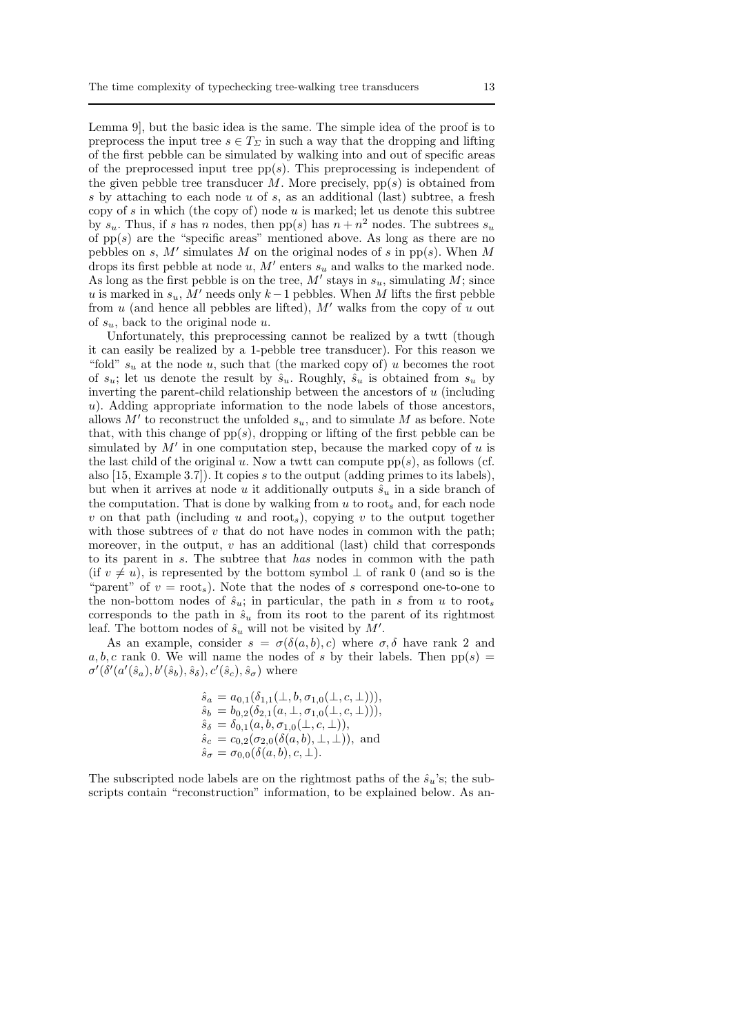Lemma 9], but the basic idea is the same. The simple idea of the proof is to preprocess the input tree  $s \in T_{\Sigma}$  in such a way that the dropping and lifting of the first pebble can be simulated by walking into and out of specific areas of the preprocessed input tree  $pp(s)$ . This preprocessing is independent of the given pebble tree transducer  $M$ . More precisely, pp(s) is obtained from s by attaching to each node u of s, as an additional (last) subtree, a fresh copy of s in which (the copy of) node  $u$  is marked; let us denote this subtree by  $s_u$ . Thus, if s has n nodes, then  $pp(s)$  has  $n + n^2$  nodes. The subtrees  $s_u$ of  $pp(s)$  are the "specific areas" mentioned above. As long as there are no pebbles on s, M' simulates M on the original nodes of s in pp(s). When M drops its first pebble at node  $u, M'$  enters  $s_u$  and walks to the marked node. As long as the first pebble is on the tree,  $M'$  stays in  $s_u$ , simulating  $M$ ; since u is marked in  $s_u$ , M' needs only k – 1 pebbles. When M lifts the first pebble from  $u$  (and hence all pebbles are lifted),  $M'$  walks from the copy of  $u$  out of  $s_u$ , back to the original node u.

Unfortunately, this preprocessing cannot be realized by a twtt (though it can easily be realized by a 1-pebble tree transducer). For this reason we "fold"  $s_u$  at the node u, such that (the marked copy of) u becomes the root of  $s_u$ ; let us denote the result by  $\hat{s}_u$ . Roughly,  $\hat{s}_u$  is obtained from  $s_u$  by inverting the parent-child relationship between the ancestors of  $u$  (including u). Adding appropriate information to the node labels of those ancestors, allows  $M'$  to reconstruct the unfolded  $s_u$ , and to simulate M as before. Note that, with this change of  $pp(s)$ , dropping or lifting of the first pebble can be simulated by  $M'$  in one computation step, because the marked copy of  $u$  is the last child of the original u. Now a twit can compute  $pp(s)$ , as follows (cf. also [15, Example 3.7]). It copies s to the output (adding primes to its labels), but when it arrives at node u it additionally outputs  $\hat{s}_u$  in a side branch of the computation. That is done by walking from  $u$  to root, and, for each node v on that path (including u and root<sub>s</sub>), copying v to the output together with those subtrees of  $v$  that do not have nodes in common with the path; moreover, in the output,  $v$  has an additional (last) child that corresponds to its parent in s. The subtree that has nodes in common with the path (if  $v \neq u$ ), is represented by the bottom symbol  $\perp$  of rank 0 (and so is the "parent" of  $v = \text{root}_s$ ). Note that the nodes of s correspond one-to-one to the non-bottom nodes of  $\hat{s}_u$ ; in particular, the path in s from u to root, corresponds to the path in  $\hat{s}_u$  from its root to the parent of its rightmost leaf. The bottom nodes of  $\hat{s}_u$  will not be visited by  $\tilde{M}'$ .

As an example, consider  $s = \sigma(\delta(a, b), c)$  where  $\sigma, \delta$  have rank 2 and a, b, c rank 0. We will name the nodes of s by their labels. Then  $pp(s)$  =  $\sigma'(\delta'(a'(\hat{s}_a), b'(\hat{s}_b), \hat{s}_\delta), c'(\hat{s}_c), \hat{s}_\sigma)$  where

$$
\begin{array}{l} \hat{s}_a = a_{0,1}(\delta_{1,1}(\bot,b,\sigma_{1,0}(\bot,c,\bot))),\\ \hat{s}_b = b_{0,2}(\delta_{2,1}(a,\bot,\sigma_{1,0}(\bot,c,\bot))),\\ \hat{s}_\delta = \delta_{0,1}(a,b,\sigma_{1,0}(\bot,c,\bot)),\\ \hat{s}_c = c_{0,2}(\sigma_{2,0}(\delta(a,b),\bot,\bot)), \text{ and}\\ \hat{s}_\sigma = \sigma_{0,0}(\delta(a,b),c,\bot).\end{array}
$$

The subscripted node labels are on the rightmost paths of the  $\hat{s}_u$ 's; the subscripts contain "reconstruction" information, to be explained below. As an-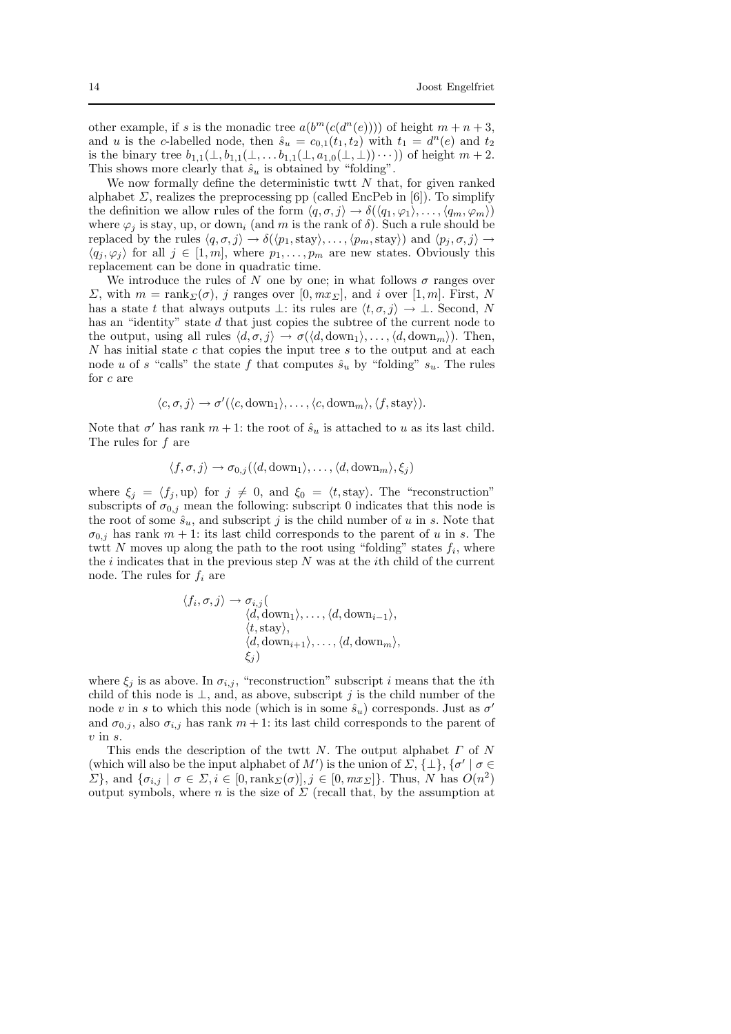other example, if s is the monadic tree  $a(b^m(c(d^n(e))))$  of height  $m + n + 3$ , and u is the c-labelled node, then  $\hat{s}_u = c_{0,1}(t_1, t_2)$  with  $t_1 = d^n(e)$  and  $t_2$ is the binary tree  $b_{1,1}(\perp, b_{1,1}(\perp, \ldots, b_{1,1}(\perp, a_{1,0}(\perp, \perp))\cdots))$  of height  $m+2$ . This shows more clearly that  $\hat{s}_u$  is obtained by "folding".

We now formally define the deterministic twtt  $N$  that, for given ranked alphabet  $\Sigma$ , realizes the preprocessing pp (called EncPeb in [6]). To simplify the definition we allow rules of the form  $\langle q, \sigma, j \rangle \rightarrow \delta(\langle q_1, \varphi_1 \rangle, \ldots, \langle q_m, \varphi_m \rangle)$ where  $\varphi_i$  is stay, up, or down<sub>i</sub> (and m is the rank of  $\delta$ ). Such a rule should be replaced by the rules  $\langle q, \sigma, j \rangle \rightarrow \delta(\langle p_1, \text{stay}\rangle, \dots, \langle p_m, \text{stay}\rangle)$  and  $\langle p_j, \sigma, j \rangle \rightarrow$  $\langle q_j, \varphi_j \rangle$  for all  $j \in [1, m]$ , where  $p_1, \ldots, p_m$  are new states. Obviously this replacement can be done in quadratic time.

We introduce the rules of N one by one; in what follows  $\sigma$  ranges over  $\Sigma$ , with  $m = \text{rank}_{\Sigma}(\sigma)$ , j ranges over [0, mx<sub>Σ</sub>], and i over [1, m]. First, N has a state t that always outputs  $\bot$ : its rules are  $\langle t, \sigma, j \rangle \to \bot$ . Second, N has an "identity" state d that just copies the subtree of the current node to the output, using all rules  $\langle d, \sigma, j \rangle \rightarrow \sigma(\langle d, \text{down}_1 \rangle, \dots, \langle d, \text{down}_m \rangle)$ . Then, N has initial state c that copies the input tree s to the output and at each node u of s "calls" the state f that computes  $\hat{s}_u$  by "folding"  $s_u$ . The rules for c are

$$
\langle c, \sigma, j \rangle \to \sigma'(\langle c, \mathrm{down}_1 \rangle, \ldots, \langle c, \mathrm{down}_m \rangle, \langle f, \mathrm{stay} \rangle).
$$

Note that  $\sigma'$  has rank  $m + 1$ : the root of  $\hat{s}_u$  is attached to u as its last child. The rules for  $f$  are

$$
\langle f, \sigma, j \rangle \to \sigma_{0,j}(\langle d, \text{down}_1 \rangle, \dots, \langle d, \text{down}_m \rangle, \xi_j)
$$

where  $\xi_j = \langle f_j , \text{up} \rangle$  for  $j \neq 0$ , and  $\xi_0 = \langle t, \text{stay} \rangle$ . The "reconstruction" subscripts of  $\sigma_{0,j}$  mean the following: subscript 0 indicates that this node is the root of some  $\hat{s}_u$ , and subscript j is the child number of u in s. Note that  $\sigma_{0,i}$  has rank  $m + 1$ : its last child corresponds to the parent of u in s. The twit N moves up along the path to the root using "folding" states  $f_i$ , where the  $i$  indicates that in the previous step  $N$  was at the *i*th child of the current node. The rules for  $f_i$  are

$$
\langle f_i, \sigma, j \rangle \to \sigma_{i,j} \langle d, \text{down}_1 \rangle, \dots, \langle d, \text{down}_{i-1} \rangle, \langle t, \text{stay} \rangle, \langle d, \text{down}_{i+1} \rangle, \dots, \langle d, \text{down}_m \rangle, \xi_j \rangle
$$

where  $\xi_j$  is as above. In  $\sigma_{i,j}$ , "reconstruction" subscript i means that the ith child of this node is  $\perp$ , and, as above, subscript j is the child number of the node v in s to which this node (which is in some  $\hat{s}_u$ ) corresponds. Just as  $\sigma'$ and  $\sigma_{0,i}$ , also  $\sigma_{i,j}$  has rank  $m+1$ : its last child corresponds to the parent of  $v$  in  $s$ .

This ends the description of the twit  $N$ . The output alphabet  $\Gamma$  of  $N$ (which will also be the input alphabet of M') is the union of  $\Sigma$ ,  $\{\perp\}$ ,  $\{\sigma' \mid \sigma \in$  $\Sigma$ , and  $\{\sigma_{i,j} \mid \sigma \in \Sigma, i \in [0, \text{rank}_{\Sigma}(\sigma)], j \in [0, m x_{\Sigma}]\}.$  Thus, N has  $O(n^2)$ output symbols, where n is the size of  $\Sigma$  (recall that, by the assumption at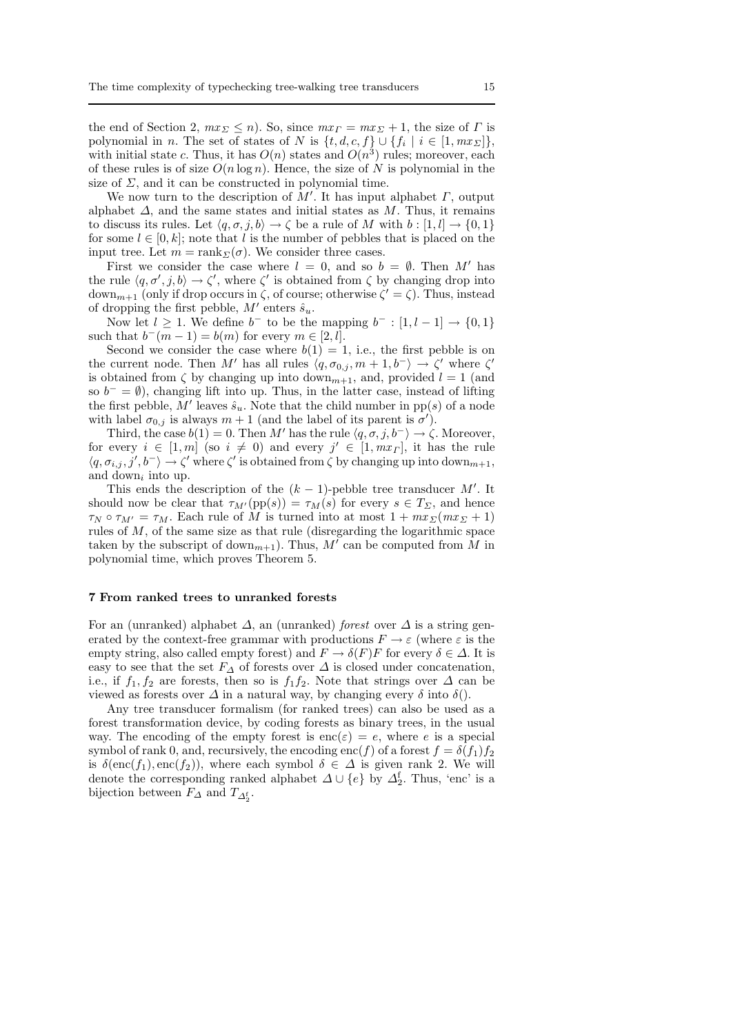the end of Section 2,  $mx_{\Sigma} \leq n$ ). So, since  $mx_{\Gamma} = mx_{\Sigma} + 1$ , the size of  $\Gamma$  is polynomial in *n*. The set of states of N is  $\{t, d, c, f\} \cup \{f_i \mid i \in [1, mx_E]\},\$ with initial state c. Thus, it has  $O(n)$  states and  $O(n^3)$  rules; moreover, each of these rules is of size  $O(n \log n)$ . Hence, the size of N is polynomial in the size of  $\Sigma$ , and it can be constructed in polynomial time.

We now turn to the description of  $\tilde{M}'$ . It has input alphabet  $\Gamma$ , output alphabet  $\Delta$ , and the same states and initial states as M. Thus, it remains to discuss its rules. Let  $\langle q, \sigma, j, b \rangle \to \zeta$  be a rule of M with  $b : [1, l] \to \{0, 1\}$ for some  $l \in [0, k]$ ; note that l is the number of pebbles that is placed on the input tree. Let  $m = \text{rank}_{\Sigma}(\sigma)$ . We consider three cases.

First we consider the case where  $l = 0$ , and so  $b = \emptyset$ . Then M' has the rule  $\langle q, \sigma', j, b \rangle \to \zeta'$ , where  $\zeta'$  is obtained from  $\zeta$  by changing drop into down<sub>m+1</sub> (only if drop occurs in  $\zeta$ , of course; otherwise  $\zeta' = \zeta$ ). Thus, instead of dropping the first pebble,  $M'$  enters  $\hat{s}_u$ .

Now let  $l \geq 1$ . We define  $b^-$  to be the mapping  $b^- : [1, l-1] \to \{0, 1\}$ such that  $b^-(m-1) = b(m)$  for every  $m \in [2, l]$ .

Second we consider the case where  $b(1) = 1$ , i.e., the first pebble is on the current node. Then M' has all rules  $\langle q, \sigma_{0,j} , m+1, b^-\rangle \to \zeta'$  where  $\zeta'$ is obtained from  $\zeta$  by changing up into down<sub>m+1</sub>, and, provided  $l = 1$  (and so  $b^- = \emptyset$ , changing lift into up. Thus, in the latter case, instead of lifting the first pebble,  $M'$  leaves  $\hat{s}_u$ . Note that the child number in pp(s) of a node with label  $\sigma_{0,j}$  is always  $m+1$  (and the label of its parent is  $\sigma'$ ).

Third, the case  $b(1) = 0$ . Then M' has the rule  $\langle q, \sigma, j, b^{-} \rangle \rightarrow \zeta$ . Moreover, for every  $i \in [1, m]$  (so  $i \neq 0$ ) and every  $j' \in [1, mx<sub>\Gamma</sub>]$ , it has the rule  $\langle q, \sigma_{i,j}, j', b^- \rangle \to \zeta'$  where  $\zeta'$  is obtained from  $\zeta$  by changing up into down<sub>m+1</sub>, and down<sub>i</sub> into up.

This ends the description of the  $(k-1)$ -pebble tree transducer M'. It should now be clear that  $\tau_{M'}(pp(s)) = \tau_M(s)$  for every  $s \in T_\Sigma$ , and hence  $\tau_N \circ \tau_{M'} = \tau_M$ . Each rule of M is turned into at most  $1 + mx \Sigma(mx \Sigma + 1)$ rules of M, of the same size as that rule (disregarding the logarithmic space taken by the subscript of down<sub>m+1</sub>). Thus,  $M'$  can be computed from  $\tilde{M}$  in polynomial time, which proves Theorem 5.

### 7 From ranked trees to unranked forests

For an (unranked) alphabet  $\Delta$ , an (unranked) forest over  $\Delta$  is a string generated by the context-free grammar with productions  $F \to \varepsilon$  (where  $\varepsilon$  is the empty string, also called empty forest) and  $F \to \delta(F)F$  for every  $\delta \in \Delta$ . It is easy to see that the set  $F_{\Delta}$  of forests over  $\Delta$  is closed under concatenation, i.e., if  $f_1, f_2$  are forests, then so is  $f_1f_2$ . Note that strings over  $\Delta$  can be viewed as forests over  $\Delta$  in a natural way, by changing every  $\delta$  into  $\delta$ ().

Any tree transducer formalism (for ranked trees) can also be used as a forest transformation device, by coding forests as binary trees, in the usual way. The encoding of the empty forest is  $\text{enc}(\varepsilon) = e$ , where e is a special symbol of rank 0, and, recursively, the encoding enc(f) of a forest  $f = \delta(f_1)f_2$ is  $\delta(\text{enc}(f_1), \text{enc}(f_2))$ , where each symbol  $\delta \in \Delta$  is given rank 2. We will denote the corresponding ranked alphabet  $\Delta \cup \{e\}$  by  $\Delta_2^f$ . Thus, 'enc' is a bijection between  $F_{\Delta}$  and  $T_{\Delta_2^{\rm f}}$ .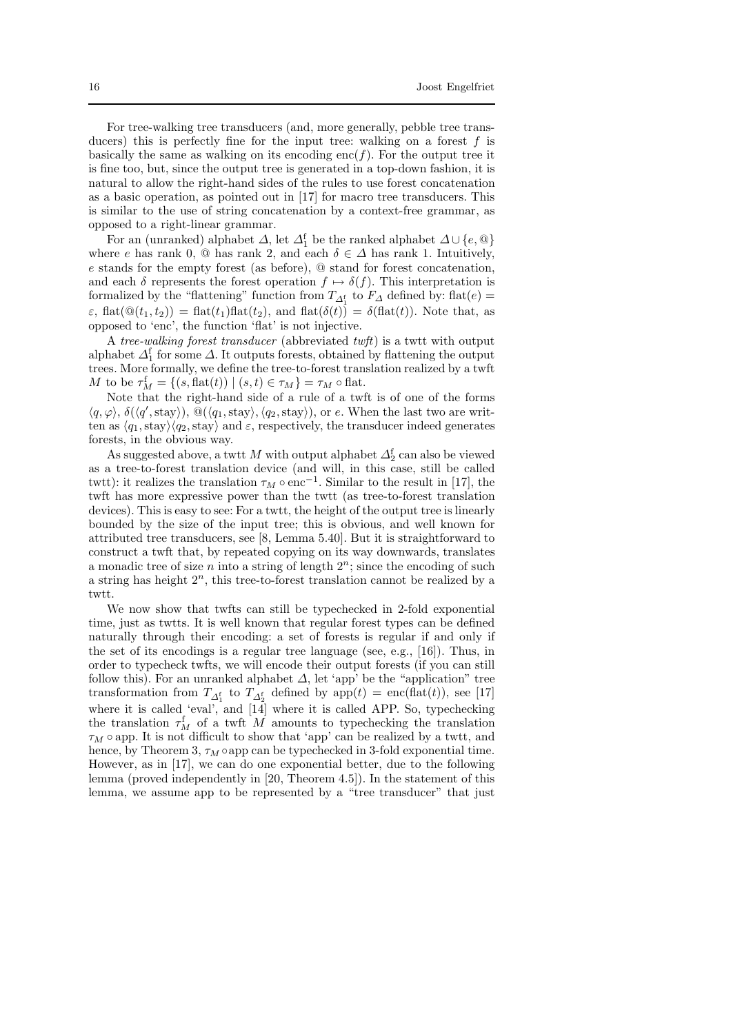For tree-walking tree transducers (and, more generally, pebble tree transducers) this is perfectly fine for the input tree: walking on a forest  $f$  is basically the same as walking on its encoding enc(f). For the output tree it is fine too, but, since the output tree is generated in a top-down fashion, it is natural to allow the right-hand sides of the rules to use forest concatenation as a basic operation, as pointed out in [17] for macro tree transducers. This is similar to the use of string concatenation by a context-free grammar, as opposed to a right-linear grammar.

For an (unranked) alphabet  $\Delta$ , let  $\Delta_1^f$  be the ranked alphabet  $\Delta \cup \{e, \mathbb{Q}\}$ where e has rank 0,  $\textcircled{a}$  has rank 2, and each  $\delta \in \Delta$  has rank 1. Intuitively, e stands for the empty forest (as before), @ stand for forest concatenation, and each  $\delta$  represents the forest operation  $f \mapsto \delta(f)$ . This interpretation is formalized by the "flattening" function from  $T_{\Delta_1^{\text{f}}}$  to  $F_{\Delta}$  defined by: flat $(e)$  =  $\varepsilon$ , flat $(\mathbb{Q}(t_1, t_2)) = \text{flat}(t_1)$  flat $(t_2)$ , and flat $(\delta(t)) = \delta(\text{flat}(t))$ . Note that, as opposed to 'enc', the function 'flat' is not injective.

A tree-walking forest transducer (abbreviated twft) is a twtt with output alphabet  $\Delta_1^f$  for some  $\Delta$ . It outputs forests, obtained by flattening the output trees. More formally, we define the tree-to-forest translation realized by a twft M to be  $\tau_M^{\mathsf{f}} = \{ (s, \text{flat}(t)) \mid (s, t) \in \tau_M \} = \tau_M \circ \text{flat}.$ 

Note that the right-hand side of a rule of a twft is of one of the forms  $\langle q, \varphi \rangle$ ,  $\delta(\langle q', \text{stay}\rangle), \stackrel{\sim}{\omega}(\langle q_1, \text{stay}\rangle, \langle q_2, \text{stay}\rangle),$  or e. When the last two are written as  $\langle q_1,\text{stay}\rangle\langle q_2,\text{stay}\rangle$  and  $\varepsilon$ , respectively, the transducer indeed generates forests, in the obvious way.

As suggested above, a twtt  $M$  with output alphabet  $\varDelta_2^{\mathrm{f}}$  can also be viewed as a tree-to-forest translation device (and will, in this case, still be called twtt): it realizes the translation  $\tau_M \circ \text{enc}^{-1}$ . Similar to the result in [17], the twft has more expressive power than the twtt (as tree-to-forest translation devices). This is easy to see: For a twtt, the height of the output tree is linearly bounded by the size of the input tree; this is obvious, and well known for attributed tree transducers, see [8, Lemma 5.40]. But it is straightforward to construct a twft that, by repeated copying on its way downwards, translates a monadic tree of size  $n$  into a string of length  $2^n$ ; since the encoding of such a string has height  $2<sup>n</sup>$ , this tree-to-forest translation cannot be realized by a twtt.

We now show that twfts can still be typechecked in 2-fold exponential time, just as twtts. It is well known that regular forest types can be defined naturally through their encoding: a set of forests is regular if and only if the set of its encodings is a regular tree language (see, e.g., [16]). Thus, in order to typecheck twfts, we will encode their output forests (if you can still follow this). For an unranked alphabet  $\Delta$ , let 'app' be the "application" tree transformation from  $T_{\Delta_1^{\xi}}$  to  $T_{\Delta_2^{\xi}}$  defined by app $(t) = \text{enc}(\text{flat}(t)),$  see [17] where it is called 'eval', and [14] where it is called APP. So, typechecking the translation  $\tau_M^f$  of a twft M amounts to typechecking the translation  $\tau_M$  o app. It is not difficult to show that 'app' can be realized by a twtt, and hence, by Theorem 3,  $\tau_M \circ \text{app}$  can be typechecked in 3-fold exponential time. However, as in [17], we can do one exponential better, due to the following lemma (proved independently in [20, Theorem 4.5]). In the statement of this lemma, we assume app to be represented by a "tree transducer" that just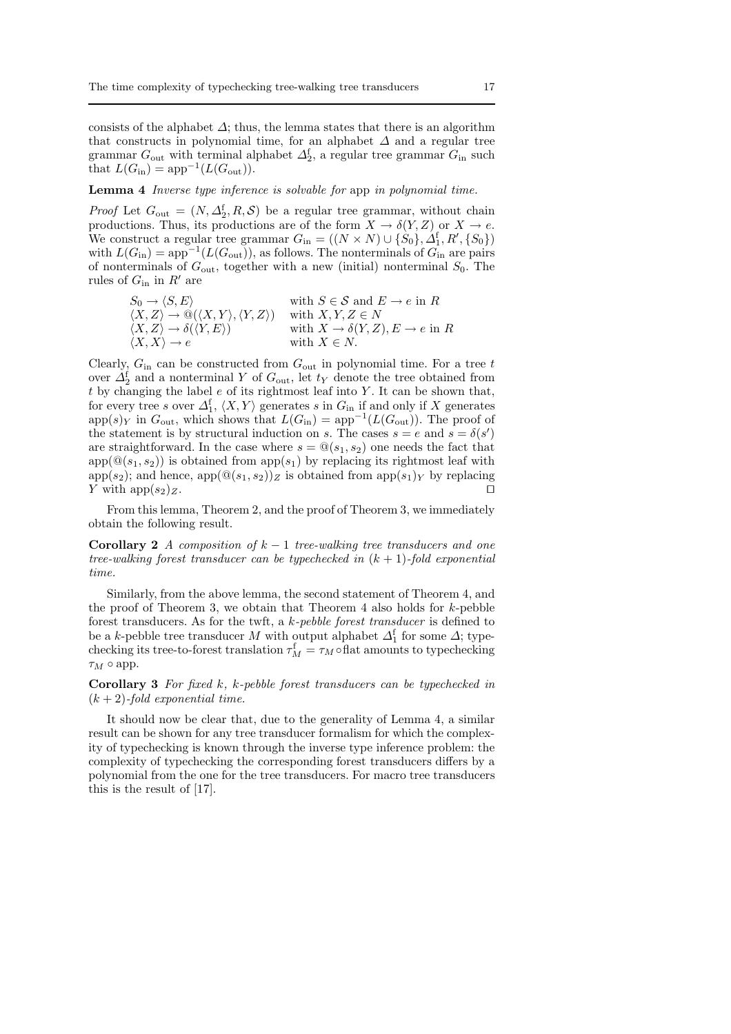consists of the alphabet  $\Delta$ ; thus, the lemma states that there is an algorithm that constructs in polynomial time, for an alphabet  $\Delta$  and a regular tree grammar  $G_{\text{out}}$  with terminal alphabet  $\Delta_2^{\text{f}}$ , a regular tree grammar  $G_{\text{in}}$  such that  $L(G_{\text{in}}) = \text{app}^{-1}(L(G_{\text{out}})).$ 

#### Lemma 4 Inverse type inference is solvable for app in polynomial time.

*Proof* Let  $G_{\text{out}} = (N, \Delta_2^f, R, \mathcal{S})$  be a regular tree grammar, without chain productions. Thus, its productions are of the form  $X \to \delta(Y, Z)$  or  $X \to e$ . We construct a regular tree grammar  $G_{\text{in}} = ((N \times N) \cup {\hat{S_0}}, \hat{A_1}, R', \{S_0\})$ with  $L(G_{\text{in}}) = \text{app}^{-1}(L(G_{\text{out}}))$ , as follows. The nonterminals of  $G_{\text{in}}$  are pairs of nonterminals of  $G_{\text{out}}$ , together with a new (initial) nonterminal  $S_0$ . The rules of  $G_{\text{in}}$  in  $R'$  are

$$
S_0 \to \langle S, E \rangle \qquad \text{with } S \in \mathcal{S} \text{ and } E \to e \text{ in } R
$$
  

$$
\langle X, Z \rangle \to \mathbb{Q}(\langle X, Y \rangle, \langle Y, Z \rangle) \qquad \text{with } X, Y, Z \in N
$$
  

$$
\langle X, Z \rangle \to \delta(\langle Y, E \rangle) \qquad \text{with } X \to \delta(Y, Z), E \to e \text{ in } R
$$
  

$$
\langle X, X \rangle \to e \qquad \text{with } X \in N.
$$

Clearly,  $G_{\text{in}}$  can be constructed from  $G_{\text{out}}$  in polynomial time. For a tree t over  $\Delta_2^f$  and a nonterminal Y of  $G_{\text{out}}$ , let  $t_Y$  denote the tree obtained from t by changing the label  $e$  of its rightmost leaf into Y. It can be shown that, for every tree s over  $\Delta_1^{\text{f}}$ ,  $\langle X, Y \rangle$  generates s in  $G_{\text{in}}$  if and only if X generates  $app(s)$ <sub>Y</sub> in  $G_{\text{out}}$ , which shows that  $L(G_{\text{in}}) = app^{-1}(L(G_{\text{out}}))$ . The proof of the statement is by structural induction on s. The cases  $s = e$  and  $s = \delta(s')$ are straightforward. In the case where  $s = \mathcal{Q}(s_1, s_2)$  one needs the fact that  $app(\mathbb{Q}(s_1, s_2))$  is obtained from  $app(s_1)$  by replacing its rightmost leaf with app $(s_2)$ ; and hence, app $(\mathbb{Q}(s_1, s_2))_Z$  is obtained from app $(s_1)_Y$  by replacing Y with app $(s_2)_Z$ . □

From this lemma, Theorem 2, and the proof of Theorem 3, we immediately obtain the following result.

Corollary 2 A composition of  $k - 1$  tree-walking tree transducers and one tree-walking forest transducer can be typechecked in  $(k + 1)$ -fold exponential time.

Similarly, from the above lemma, the second statement of Theorem 4, and the proof of Theorem 3, we obtain that Theorem 4 also holds for  $k$ -pebble forest transducers. As for the twft, a k-pebble forest transducer is defined to be a k-pebble tree transducer M with output alphabet  $\Delta_1^f$  for some  $\Delta$ ; typechecking its tree-to-forest translation  $\tau_M^{\text{f}} = \tau_M \circ \text{flat}$  amounts to typechecking  $\tau_M \circ$  app.

Corollary 3 For fixed k, k-pebble forest transducers can be typechecked in  $(k+2)$ -fold exponential time.

It should now be clear that, due to the generality of Lemma 4, a similar result can be shown for any tree transducer formalism for which the complexity of typechecking is known through the inverse type inference problem: the complexity of typechecking the corresponding forest transducers differs by a polynomial from the one for the tree transducers. For macro tree transducers this is the result of [17].